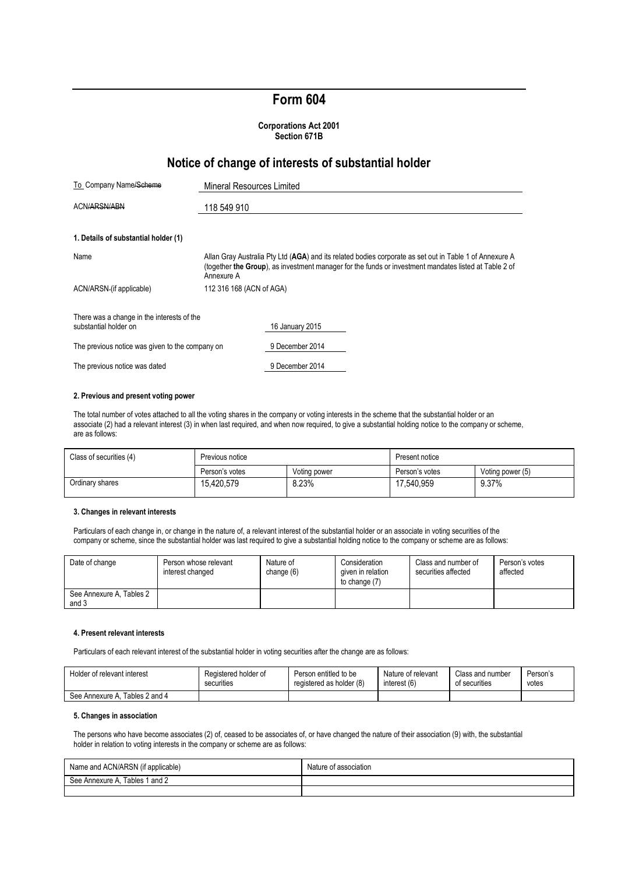# **Form 604**

### **Corporations Act 2001 Section 671B**

## **Notice of change of interests of substantial holder**

| To Company Name/Scheme                                              | Mineral Resources Limited                                                                                                                                                                                                      |                 |  |  |
|---------------------------------------------------------------------|--------------------------------------------------------------------------------------------------------------------------------------------------------------------------------------------------------------------------------|-----------------|--|--|
| ACN/ARSN/ABN                                                        | 118 549 910                                                                                                                                                                                                                    |                 |  |  |
| 1. Details of substantial holder (1)                                |                                                                                                                                                                                                                                |                 |  |  |
| Name                                                                | Allan Gray Australia Pty Ltd (AGA) and its related bodies corporate as set out in Table 1 of Annexure A<br>(together the Group), as investment manager for the funds or investment mandates listed at Table 2 of<br>Annexure A |                 |  |  |
| ACN/ARSN-(if applicable)                                            | 112 316 168 (ACN of AGA)                                                                                                                                                                                                       |                 |  |  |
| There was a change in the interests of the<br>substantial holder on |                                                                                                                                                                                                                                | 16 January 2015 |  |  |
| The previous notice was given to the company on                     |                                                                                                                                                                                                                                | 9 December 2014 |  |  |
| The previous notice was dated                                       |                                                                                                                                                                                                                                | 9 December 2014 |  |  |

#### **2. Previous and present voting power**

The total number of votes attached to all the voting shares in the company or voting interests in the scheme that the substantial holder or an associate (2) had a relevant interest (3) in when last required, and when now required, to give a substantial holding notice to the company or scheme, are as follows:

| Class of securities (4) | Previous notice |              | Present notice |                  |
|-------------------------|-----------------|--------------|----------------|------------------|
|                         | Person's votes  | Voting power | Person's votes | Voting power (5) |
| Ordinary shares         | 15.420.579      | 8.23%        | 17.540.959     | 9.37%            |

#### **3. Changes in relevant interests**

Particulars of each change in, or change in the nature of, a relevant interest of the substantial holder or an associate in voting securities of the company or scheme, since the substantial holder was last required to give a substantial holding notice to the company or scheme are as follows:

| Date of change                    | Person whose relevant<br>interest changed | Nature of<br>change (6) | Consideration<br>given in relation<br>to change (7) | Class and number of<br>securities affected | Person's votes<br>affected |
|-----------------------------------|-------------------------------------------|-------------------------|-----------------------------------------------------|--------------------------------------------|----------------------------|
| See Annexure A, Tables 2<br>and 3 |                                           |                         |                                                     |                                            |                            |

### **4. Present relevant interests**

Particulars of each relevant interest of the substantial holder in voting securities after the change are as follows:

| Holder of relevant interest       | Registered holder of | Person entitled to be    | Nature of relevant | Class and number | Person's |
|-----------------------------------|----------------------|--------------------------|--------------------|------------------|----------|
|                                   | securities           | registered as holder (8) | interest (6)       | of securities    | votes    |
| Tables 2 and 4<br>See Annexure A. |                      |                          |                    |                  |          |

### **5. Changes in association**

The persons who have become associates (2) of, ceased to be associates of, or have changed the nature of their association (9) with, the substantial holder in relation to voting interests in the company or scheme are as follows:

| Name and ACN/ARSN (if applicable) | Nature<br>of association. |
|-----------------------------------|---------------------------|
| Tables 1 and 2<br>See Annexure A  |                           |
|                                   |                           |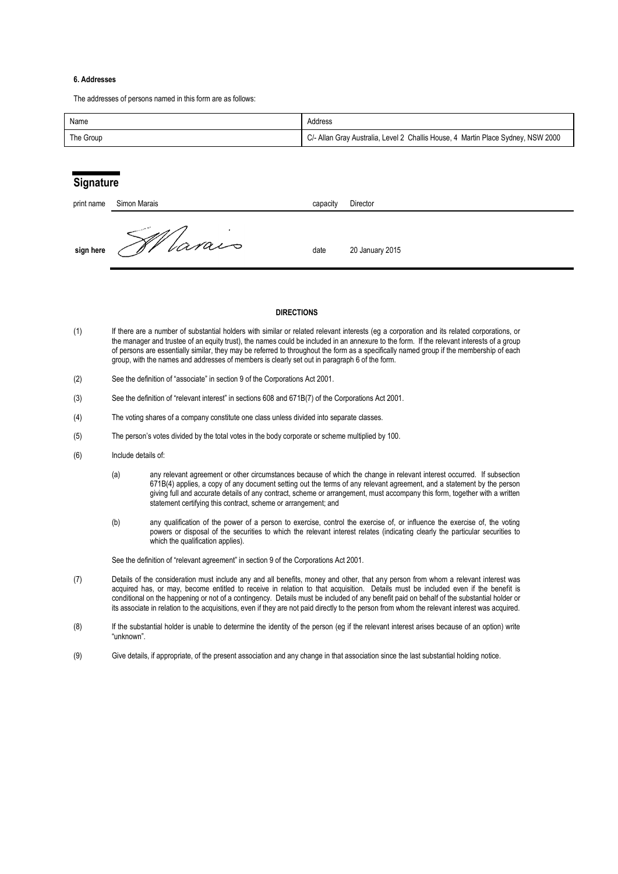### **6. Addresses**

The addresses of persons named in this form are as follows:

| Name      | Address                                                                          |
|-----------|----------------------------------------------------------------------------------|
| The Group | C/- Allan Gray Australia, Level 2 Challis House, 4 Martin Place Sydney, NSW 2000 |

### **Signature**

| print name | Simon Marais | capacity | Director        |
|------------|--------------|----------|-----------------|
| sign here  | Varais       | date     | 20 January 2015 |

### **DIRECTIONS**

- (1) If there are a number of substantial holders with similar or related relevant interests (eg a corporation and its related corporations, or the manager and trustee of an equity trust), the names could be included in an annexure to the form. If the relevant interests of a group of persons are essentially similar, they may be referred to throughout the form as a specifically named group if the membership of each group, with the names and addresses of members is clearly set out in paragraph 6 of the form.
- (2) See the definition of "associate" in section 9 of the Corporations Act 2001.
- (3) See the definition of "relevant interest" in sections 608 and 671B(7) of the Corporations Act 2001.
- (4) The voting shares of a company constitute one class unless divided into separate classes.
- (5) The person's votes divided by the total votes in the body corporate or scheme multiplied by 100.
- (6) Include details of:
	- (a) any relevant agreement or other circumstances because of which the change in relevant interest occurred. If subsection 671B(4) applies, a copy of any document setting out the terms of any relevant agreement, and a statement by the person giving full and accurate details of any contract, scheme or arrangement, must accompany this form, together with a written statement certifying this contract, scheme or arrangement; and
	- (b) any qualification of the power of a person to exercise, control the exercise of, or influence the exercise of, the voting powers or disposal of the securities to which the relevant interest relates (indicating clearly the particular securities to which the qualification applies).

See the definition of "relevant agreement" in section 9 of the Corporations Act 2001.

- (7) Details of the consideration must include any and all benefits, money and other, that any person from whom a relevant interest was acquired has, or may, become entitled to receive in relation to that acquisition. Details must be included even if the benefit is conditional on the happening or not of a contingency. Details must be included of any benefit paid on behalf of the substantial holder or its associate in relation to the acquisitions, even if they are not paid directly to the person from whom the relevant interest was acquired.
- (8) If the substantial holder is unable to determine the identity of the person (eg if the relevant interest arises because of an option) write "unknown".
- (9) Give details, if appropriate, of the present association and any change in that association since the last substantial holding notice.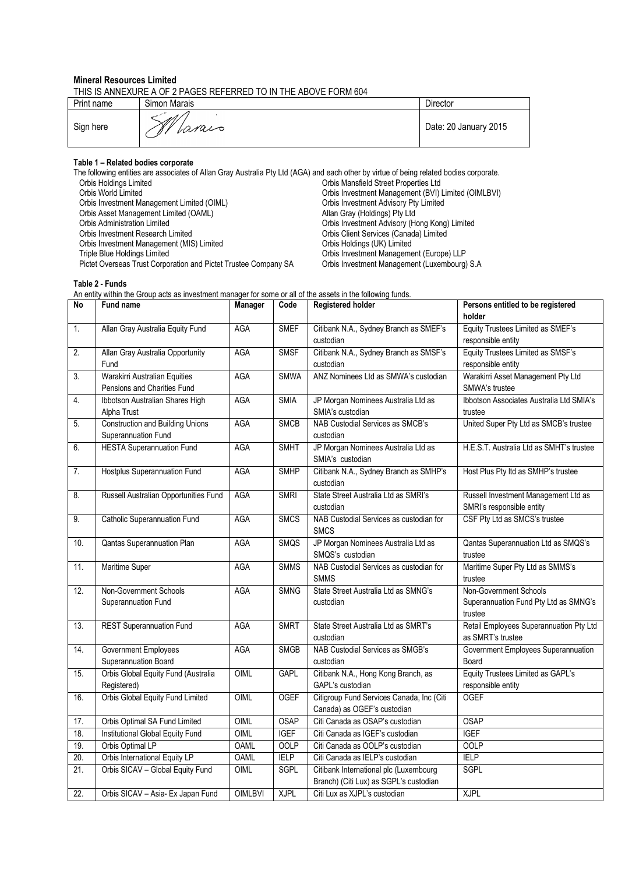### **Mineral Resources Limited**

THIS IS ANNEXURE A OF 2 PAGES REFERRED TO IN THE ABOVE FORM 604

| Print name | Simon Marais  | Director              |
|------------|---------------|-----------------------|
| Sign here  | A V<br>larais | Date: 20 January 2015 |

### **Table 1 – Related bodies corporate**

The following entities are associates of Allan Gray Australia Pty Ltd (AGA) and each other by virtue of being related bodies corporate.<br>Orbis Holdings Limited<br>Orbis Mansfield Street Properties Ltd Orbis Holdings Limited Chris Mansfield Street Properties Ltd<br>Orbis World Limited Orbis Management (BVI) I Orbis Investment Management (BVI) Limited (OIMLBVI)<br>Orbis Investment Advisory Pty Limited Orbis Investment Management Limited (OIML) Orbis Asset Management Limited (OAML)<br>Orbis Administration Limited Orbis Asset Management Limited (OAML)<br>
Orbis Administration Limited (OAML)<br>
Orbis Administration Limited (OAML)<br>
Orbis Investment Advisory (Hong Kong) Limited<br>
Orbis Investment Research Limited<br>
Orbis Investment Advisory ( Orbis Client Services (Canada) Limited<br>Orbis Holdings (UK) Limited Orbis Investment Management (MIS) Limited<br>Triple Blue Holdings Limited Triple Bluestment Management (Europe) LLP<br>Orbis Investment Management (Luxembourg) S.A Pictet Overseas Trust Corporation and Pictet Trustee Company SA

### **Table 2 - Funds**

An entity within the Group acts as investment manager for some or all of the assets in the following funds.

| No                | Fund name                                                      | Manager        | Code        | <b>Registered holder</b>                                                         | Persons entitled to be registered<br>holder                                |
|-------------------|----------------------------------------------------------------|----------------|-------------|----------------------------------------------------------------------------------|----------------------------------------------------------------------------|
| 1.                | Allan Gray Australia Equity Fund                               | <b>AGA</b>     | <b>SMEF</b> | Citibank N.A., Sydney Branch as SMEF's<br>custodian                              | Equity Trustees Limited as SMEF's<br>responsible entity                    |
| $\overline{2}$ .  | Allan Gray Australia Opportunity<br>Fund                       | <b>AGA</b>     | <b>SMSF</b> | Citibank N.A., Sydney Branch as SMSF's<br>custodian                              | Equity Trustees Limited as SMSF's<br>responsible entity                    |
| 3.                | Warakirri Australian Equities<br>Pensions and Charities Fund   | AGA            | <b>SMWA</b> | ANZ Nominees Ltd as SMWA's custodian                                             | Warakirri Asset Management Pty Ltd<br>SMWA's trustee                       |
| $\overline{4}$ .  | Ibbotson Australian Shares High<br>Alpha Trust                 | <b>AGA</b>     | <b>SMIA</b> | JP Morgan Nominees Australia Ltd as<br>SMIA's custodian                          | Ibbotson Associates Australia Ltd SMIA's<br>trustee                        |
| 5.                | <b>Construction and Building Unions</b><br>Superannuation Fund | <b>AGA</b>     | <b>SMCB</b> | NAB Custodial Services as SMCB's<br>custodian                                    | United Super Pty Ltd as SMCB's trustee                                     |
| 6.                | <b>HESTA Superannuation Fund</b>                               | AGA            | <b>SMHT</b> | JP Morgan Nominees Australia Ltd as<br>SMIA's custodian                          | H.E.S.T. Australia Ltd as SMHT's trustee                                   |
| 7.                | Hostplus Superannuation Fund                                   | AGA            | <b>SMHP</b> | Citibank N.A., Sydney Branch as SMHP's<br>custodian                              | Host Plus Pty Itd as SMHP's trustee                                        |
| 8.                | Russell Australian Opportunities Fund                          | <b>AGA</b>     | <b>SMRI</b> | State Street Australia Ltd as SMRI's<br>custodian                                | Russell Investment Management Ltd as<br>SMRI's responsible entity          |
| 9.                | <b>Catholic Superannuation Fund</b>                            | <b>AGA</b>     | <b>SMCS</b> | NAB Custodial Services as custodian for<br><b>SMCS</b>                           | CSF Pty Ltd as SMCS's trustee                                              |
| 10.               | Qantas Superannuation Plan                                     | <b>AGA</b>     | SMQS        | JP Morgan Nominees Australia Ltd as<br>SMQS's custodian                          | Qantas Superannuation Ltd as SMQS's<br>trustee                             |
| 11.               | Maritime Super                                                 | <b>AGA</b>     | <b>SMMS</b> | NAB Custodial Services as custodian for<br><b>SMMS</b>                           | Maritime Super Pty Ltd as SMMS's<br>trustee                                |
| 12.               | Non-Government Schools<br>Superannuation Fund                  | <b>AGA</b>     | <b>SMNG</b> | State Street Australia Ltd as SMNG's<br>custodian                                | Non-Government Schools<br>Superannuation Fund Pty Ltd as SMNG's<br>trustee |
| 13.               | <b>REST Superannuation Fund</b>                                | <b>AGA</b>     | <b>SMRT</b> | State Street Australia Ltd as SMRT's<br>custodian                                | Retail Employees Superannuation Pty Ltd<br>as SMRT's trustee               |
| 14.               | Government Employees<br>Superannuation Board                   | <b>AGA</b>     | <b>SMGB</b> | NAB Custodial Services as SMGB's<br>custodian                                    | Government Employees Superannuation<br>Board                               |
| 15.               | Orbis Global Equity Fund (Australia<br>Registered)             | OIML           | <b>GAPL</b> | Citibank N.A., Hong Kong Branch, as<br>GAPL's custodian                          | Equity Trustees Limited as GAPL's<br>responsible entity                    |
| 16.               | Orbis Global Equity Fund Limited                               | OIML           | <b>OGEF</b> | Citigroup Fund Services Canada, Inc (Citi<br>Canada) as OGEF's custodian         | <b>OGEF</b>                                                                |
| 17.               | Orbis Optimal SA Fund Limited                                  | OIML           | <b>OSAP</b> | Citi Canada as OSAP's custodian                                                  | <b>OSAP</b>                                                                |
| 18.               | Institutional Global Equity Fund                               | OIML           | <b>IGEF</b> | Citi Canada as IGEF's custodian                                                  | <b>IGEF</b>                                                                |
| 19.               | Orbis Optimal LP                                               | <b>OAML</b>    | <b>OOLP</b> | Citi Canada as OOLP's custodian                                                  | <b>OOLP</b>                                                                |
| 20.               | Orbis International Equity LP                                  | <b>OAML</b>    | <b>IELP</b> | Citi Canada as IELP's custodian                                                  | <b>IELP</b>                                                                |
| $\overline{21}$ . | Orbis SICAV - Global Equity Fund                               | OIML           | <b>SGPL</b> | Citibank International plc (Luxembourg<br>Branch) (Citi Lux) as SGPL's custodian | <b>SGPL</b>                                                                |
| $\overline{22}$ . | Orbis SICAV - Asia- Ex Japan Fund                              | <b>OIMLBVI</b> | <b>XJPL</b> | Citi Lux as XJPL's custodian                                                     | <b>XJPL</b>                                                                |